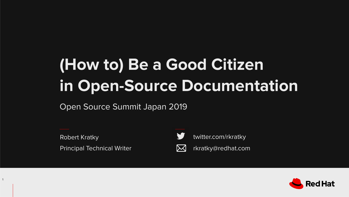#### **(How to) Be a Good Citizen in Open-Source Documentation**

Open Source Summit Japan 2019

Principal Technical Writer **Research 2018** rkratky@redhat.com Robert Kratky

1

twitter.com/rkratky



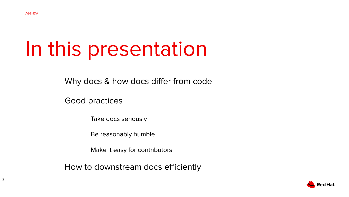#### In this presentation

Why docs & how docs differ from code

Good practices

Take docs seriously

Be reasonably humble

Make it easy for contributors

How to downstream docs efficiently

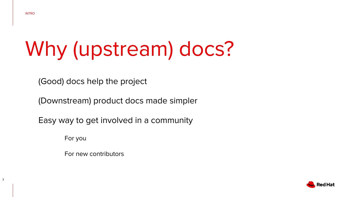# Why (upstream) docs?

(Good) docs help the project

(Downstream) product docs made simpler

Easy way to get involved in a community

For you

For new contributors

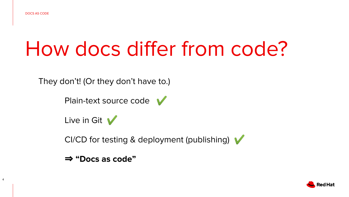#### How docs differ from code?

They don't! (Or they don't have to.)

Plain-text source code

Live in Git  $\sqrt{}$ 

CI/CD for testing & deployment (publishing)

⇒ **"Docs as code"**

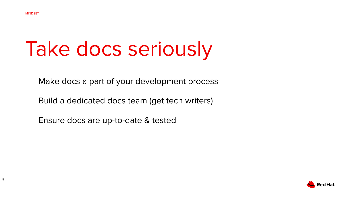# Take docs seriously

Make docs a part of your development process

Build a dedicated docs team (get tech writers)

Ensure docs are up-to-date & tested

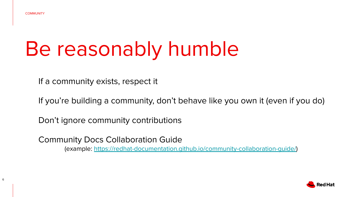### Be reasonably humble

If a community exists, respect it

If you're building a community, don't behave like you own it (even if you do)

Don't ignore community contributions

Community Docs Collaboration Guide (example: [https://redhat-documentation.github.io/community-collaboration-guide/\)](https://redhat-documentation.github.io/community-collaboration-guide/)

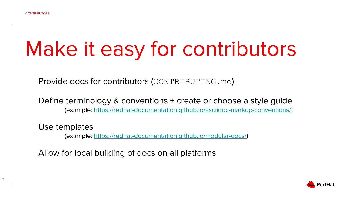# Make it easy for contributors

Provide docs for contributors (CONTRIBUTING.md)

Define terminology & conventions + create or choose a style guide (example: [https://redhat-documentation.github.io/asciidoc-markup-conventions/\)](https://redhat-documentation.github.io/asciidoc-markup-conventions/)

Use templates

(example:<https://redhat-documentation.github.io/modular-docs/>)

Allow for local building of docs on all platforms

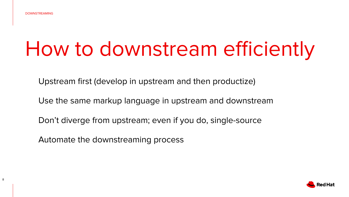#### How to downstream efficiently

Upstream first (develop in upstream and then productize)

Use the same markup language in upstream and downstream

Don't diverge from upstream; even if you do, single-source

Automate the downstreaming process

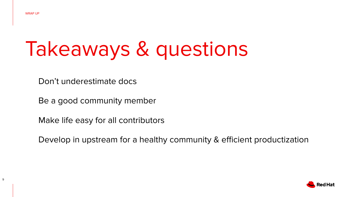# Takeaways & questions

Don't underestimate docs

Be a good community member

Make life easy for all contributors

Develop in upstream for a healthy community & efficient productization